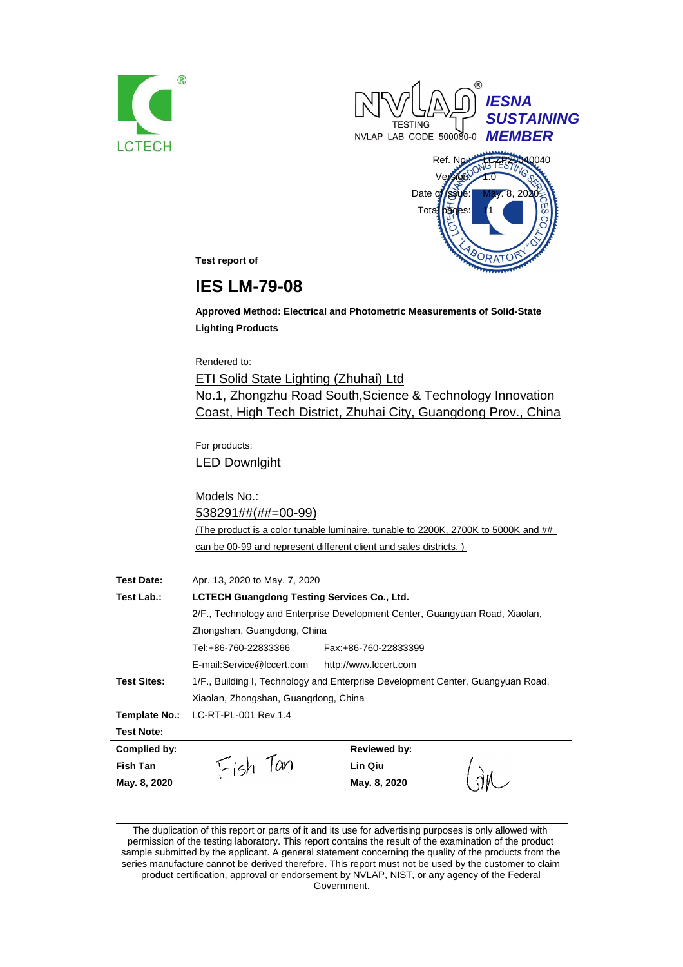





**Test report of**

# **IES LM-79-08**

**Approved Method: Electrical and Photometric Measurements of Solid-State Lighting Products**

Rendered to:

ETI Solid State Lighting (Zhuhai) Ltd No.1, Zhongzhu Road South,Science & Technology Innovation Coast, High Tech District, Zhuhai City, Guangdong Prov., China

For products: LED Downlgiht

Models No.: 538291##(##=00-99) (The product is a color tunable luminaire, tunable to 2200K, 2700K to 5000K and ## can be 00-99 and represent different client and sales districts. )

| <b>Test Date:</b>  | Apr. 13, 2020 to May. 7, 2020                                                   |                       |  |  |
|--------------------|---------------------------------------------------------------------------------|-----------------------|--|--|
| Test Lab.:         | <b>LCTECH Guangdong Testing Services Co., Ltd.</b>                              |                       |  |  |
|                    | 2/F., Technology and Enterprise Development Center, Guangyuan Road, Xiaolan,    |                       |  |  |
|                    | Zhongshan, Guangdong, China                                                     |                       |  |  |
|                    | Tel:+86-760-22833366                                                            | Fax: +86-760-22833399 |  |  |
|                    | E-mail:Service@lccert.com                                                       | http://www.lccert.com |  |  |
| <b>Test Sites:</b> | 1/F., Building I, Technology and Enterprise Development Center, Guangyuan Road, |                       |  |  |
|                    | Xiaolan, Zhongshan, Guangdong, China                                            |                       |  |  |
| Template No.:      | LC-RT-PL-001 Rev.1.4                                                            |                       |  |  |
| <b>Test Note:</b>  |                                                                                 |                       |  |  |
| Complied by:       |                                                                                 | <b>Reviewed by:</b>   |  |  |
| Fish Tan           | Fish Tan                                                                        | Lin Qiu               |  |  |
| May. 8, 2020       |                                                                                 | May. 8, 2020          |  |  |

The duplication of this report or parts of it and its use for advertising purposes is only allowed with permission of the testing laboratory. This report contains the result of the examination of the product sample submitted by the applicant. A general statement concerning the quality of the products from the series manufacture cannot be derived therefore. This report must not be used by the customer to claim product certification, approval or endorsement by NVLAP, NIST, or any agency of the Federal

Government.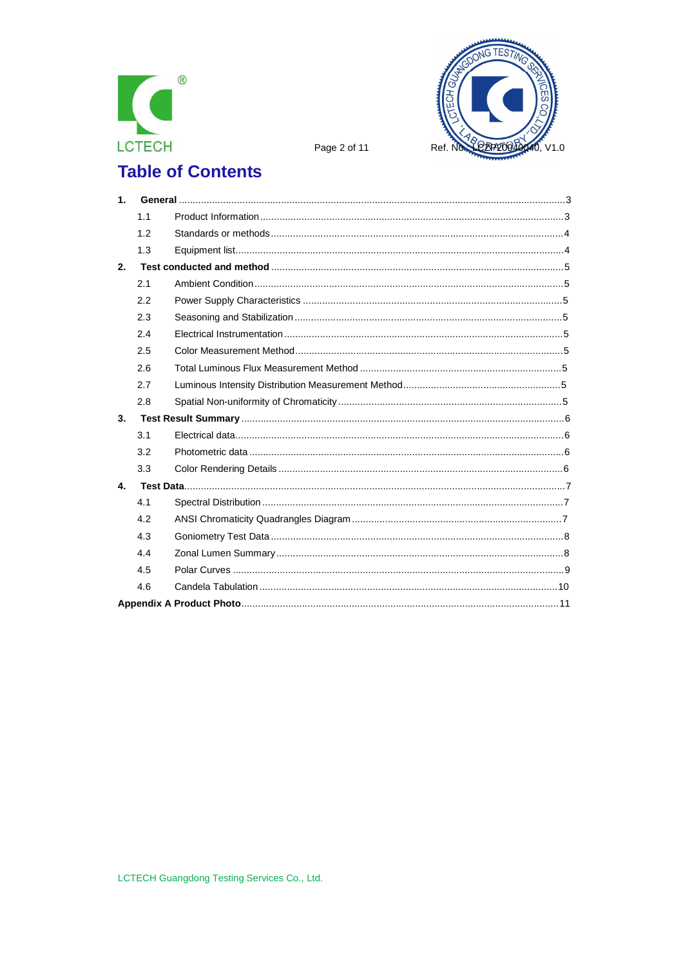



Page 2 of 11

# **Table of Contents**

| 1 <sub>1</sub> |     |  |
|----------------|-----|--|
|                | 1.1 |  |
|                | 1.2 |  |
|                | 1.3 |  |
| 2.             |     |  |
|                | 2.1 |  |
|                | 2.2 |  |
|                | 2.3 |  |
|                | 2.4 |  |
|                | 2.5 |  |
|                | 2.6 |  |
|                | 2.7 |  |
|                | 2.8 |  |
| 3.             |     |  |
|                | 3.1 |  |
|                | 3.2 |  |
|                | 3.3 |  |
| 4.             |     |  |
|                | 4.1 |  |
|                | 4.2 |  |
|                | 4.3 |  |
|                | 4.4 |  |
|                | 4.5 |  |
|                | 4.6 |  |
|                |     |  |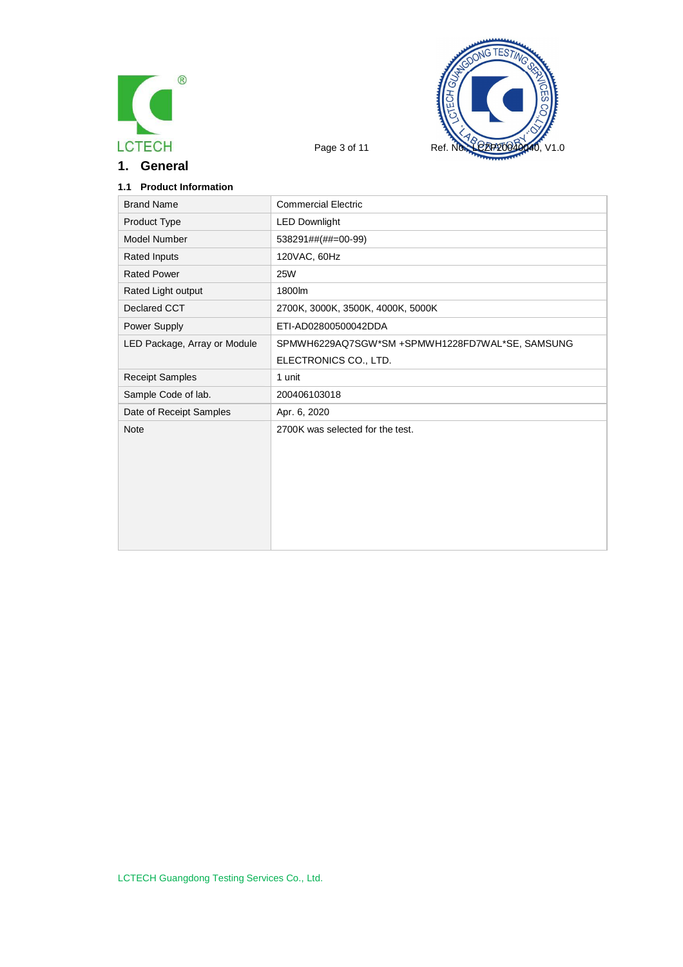

**1. General**



# **1.1 Product Information**

| <b>Brand Name</b>            | <b>Commercial Electric</b>                      |
|------------------------------|-------------------------------------------------|
| Product Type                 | <b>LED Downlight</b>                            |
| Model Number                 | 538291##(##=00-99)                              |
| <b>Rated Inputs</b>          | 120VAC, 60Hz                                    |
| <b>Rated Power</b>           | <b>25W</b>                                      |
| Rated Light output           | 1800lm                                          |
| Declared CCT                 | 2700K, 3000K, 3500K, 4000K, 5000K               |
| Power Supply                 | ETI-AD02800500042DDA                            |
| LED Package, Array or Module | SPMWH6229AQ7SGW*SM +SPMWH1228FD7WAL*SE, SAMSUNG |
|                              | ELECTRONICS CO., LTD.                           |
| <b>Receipt Samples</b>       | 1 unit                                          |
| Sample Code of lab.          | 200406103018                                    |
| Date of Receipt Samples      | Apr. 6, 2020                                    |
| <b>Note</b>                  | 2700K was selected for the test.                |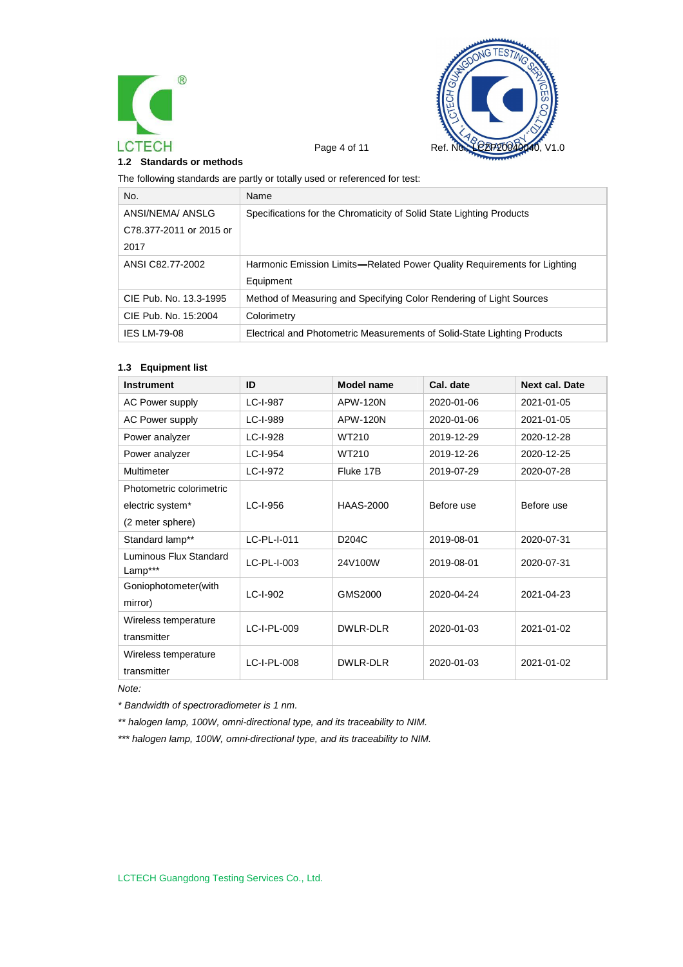



#### **1.2 Standards or methods**

The following standards are partly or totally used or referenced for test:

| No.                     | Name                                                                     |
|-------------------------|--------------------------------------------------------------------------|
| ANSI/NEMA/ ANSLG        | Specifications for the Chromaticity of Solid State Lighting Products     |
| C78.377-2011 or 2015 or |                                                                          |
| 2017                    |                                                                          |
| ANSI C82.77-2002        | Harmonic Emission Limits—Related Power Quality Requirements for Lighting |
|                         | Equipment                                                                |
| CIE Pub. No. 13.3-1995  | Method of Measuring and Specifying Color Rendering of Light Sources      |
| CIE Pub. No. 15:2004    | Colorimetry                                                              |
| <b>IES LM-79-08</b>     | Electrical and Photometric Measurements of Solid-State Lighting Products |

#### **1.3 Equipment list**

| <b>Instrument</b>                 | ID          | Model name         | Cal. date  | <b>Next cal. Date</b> |
|-----------------------------------|-------------|--------------------|------------|-----------------------|
| <b>AC Power supply</b>            | LC-I-987    | APW-120N           | 2020-01-06 | 2021-01-05            |
| <b>AC Power supply</b>            | LC-I-989    | <b>APW-120N</b>    | 2020-01-06 | 2021-01-05            |
| Power analyzer                    | LC-I-928    | WT210              | 2019-12-29 | 2020-12-28            |
| Power analyzer                    | LC-I-954    | WT210              | 2019-12-26 | 2020-12-25            |
| Multimeter                        | LC-I-972    | Fluke 17B          | 2019-07-29 | 2020-07-28            |
| Photometric colorimetric          |             |                    |            |                       |
| electric system*                  | LC-I-956    | <b>HAAS-2000</b>   | Before use | Before use            |
| (2 meter sphere)                  |             |                    |            |                       |
| Standard lamp**                   | LC-PL-I-011 | D <sub>204</sub> C | 2019-08-01 | 2020-07-31            |
| Luminous Flux Standard<br>Lamp*** | LC-PL-I-003 | 24V100W            | 2019-08-01 | 2020-07-31            |
| Goniophotometer(with              | LC-I-902    | GMS2000            | 2020-04-24 | 2021-04-23            |
| mirror)                           |             |                    |            |                       |
| Wireless temperature              | LC-I-PL-009 | DWLR-DLR           | 2020-01-03 | 2021-01-02            |
| transmitter                       |             |                    |            |                       |
| Wireless temperature              | LC-I-PL-008 | DWLR-DLR           | 2020-01-03 | 2021-01-02            |
| transmitter                       |             |                    |            |                       |

*Note:*

*\* Bandwidth of spectroradiometer is 1 nm.*

*\*\* halogen lamp, 100W, omni-directional type, and its traceability to NIM.*

*\*\*\* halogen lamp, 100W, omni-directional type, and its traceability to NIM.*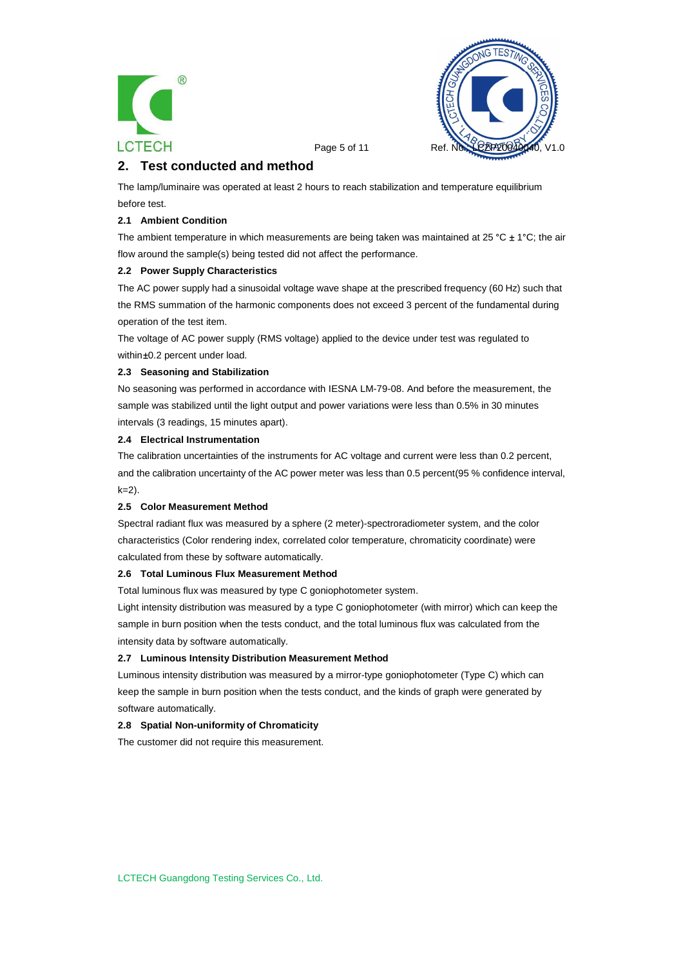



Page 5 of 11 Ref.

# **2. Test conducted and method**

The lamp/luminaire was operated at least 2 hours to reach stabilization and temperature equilibrium before test.

### **2.1 Ambient Condition**

The ambient temperature in which measurements are being taken was maintained at 25 °C  $\pm$  1°C; the air flow around the sample(s) being tested did not affect the performance.

#### **2.2 Power Supply Characteristics**

The AC power supply had a sinusoidal voltage wave shape at the prescribed frequency (60 Hz) such that the RMS summation of the harmonic components does not exceed 3 percent of the fundamental during operation of the test item.

The voltage of AC power supply (RMS voltage) applied to the device under test was regulated to within ±0.2 percent under load.

#### **2.3 Seasoning and Stabilization**

No seasoning was performed in accordance with IESNA LM-79-08. And before the measurement, the sample was stabilized until the light output and power variations were less than 0.5% in 30 minutes intervals (3 readings, 15 minutes apart).

#### **2.4 Electrical Instrumentation**

The calibration uncertainties of the instruments for AC voltage and current were less than 0.2 percent, and the calibration uncertainty of the AC power meter was less than 0.5 percent(95 % confidence interval,  $k=2$ ).

#### **2.5 Color Measurement Method**

Spectral radiant flux was measured by a sphere (2 meter)-spectroradiometer system, and the color characteristics (Color rendering index, correlated color temperature, chromaticity coordinate) were calculated from these by software automatically.

#### **2.6 Total Luminous Flux Measurement Method**

Total luminous flux was measured by type C goniophotometer system.

Light intensity distribution was measured by a type C goniophotometer (with mirror) which can keep the sample in burn position when the tests conduct, and the total luminous flux was calculated from the intensity data by software automatically.

#### **2.7 Luminous Intensity Distribution Measurement Method**

Luminous intensity distribution was measured by a mirror-type goniophotometer (Type C) which can keep the sample in burn position when the tests conduct, and the kinds of graph were generated by software automatically.

#### **2.8 Spatial Non-uniformity of Chromaticity**

The customer did not require this measurement.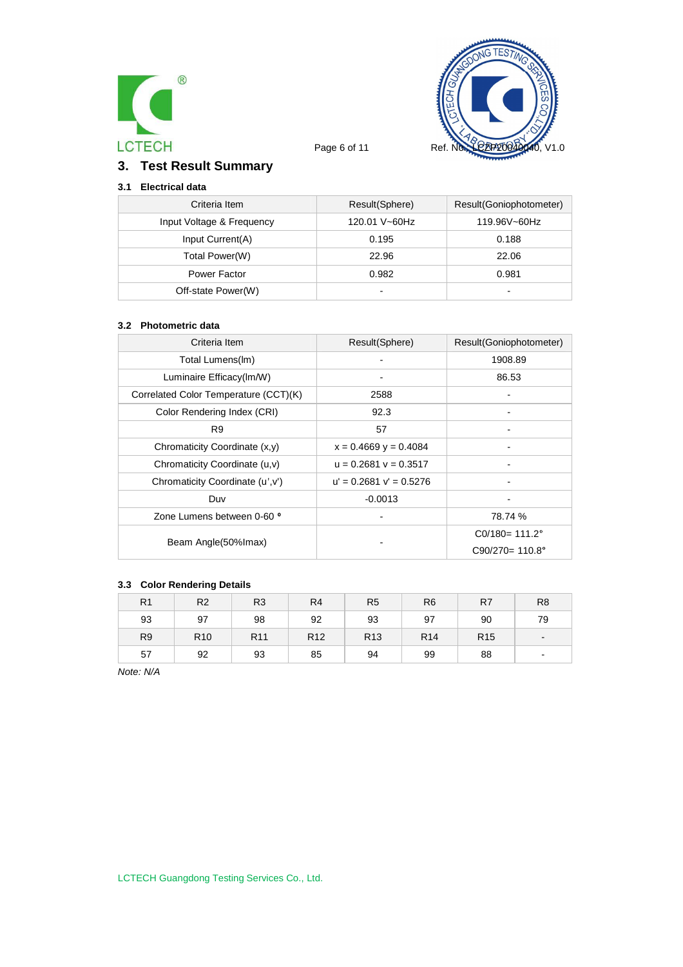



# **3. Test Result Summary**

# **3.1 Electrical data**

| Criteria Item             | Result(Sphere)           | Result(Goniophotometer) |
|---------------------------|--------------------------|-------------------------|
| Input Voltage & Frequency | 120.01 V~60Hz            | 119.96V~60Hz            |
| Input Current(A)          | 0.195                    | 0.188                   |
| Total Power(W)            | 22.96                    | 22.06                   |
| Power Factor              | 0.982                    | 0.981                   |
| Off-state Power(W)        | $\overline{\phantom{0}}$ |                         |

#### **3.2 Photometric data**

| Criteria Item                         | Result(Sphere)              | Result(Goniophotometer)   |
|---------------------------------------|-----------------------------|---------------------------|
| Total Lumens(Im)                      |                             | 1908.89                   |
| Luminaire Efficacy(Im/W)              |                             | 86.53                     |
| Correlated Color Temperature (CCT)(K) | 2588                        |                           |
| Color Rendering Index (CRI)           | 92.3                        |                           |
| R <sub>9</sub>                        | 57                          |                           |
| Chromaticity Coordinate (x,y)         | $x = 0.4669$ y = 0.4084     |                           |
| Chromaticity Coordinate (u,v)         | $u = 0.2681$ $v = 0.3517$   |                           |
| Chromaticity Coordinate (u', v')      | $u' = 0.2681$ $v' = 0.5276$ |                           |
| Duv                                   | $-0.0013$                   |                           |
| Zone Lumens between 0-60 °            |                             | 78.74 %                   |
|                                       |                             | $CO/180 = 111.2^{\circ}$  |
| Beam Angle(50% Imax)                  |                             | $C90/270 = 110.8^{\circ}$ |

# **3.3 Color Rendering Details**

| R <sub>1</sub> | R <sub>2</sub>  | R <sub>3</sub>  | R <sub>4</sub>  | R <sub>5</sub>  | R <sub>6</sub>  | R7              | R <sub>8</sub> |
|----------------|-----------------|-----------------|-----------------|-----------------|-----------------|-----------------|----------------|
| 93             | 97              | 98              | 92              | 93              | 97              | 90              | 79             |
| R <sub>9</sub> | R <sub>10</sub> | R <sub>11</sub> | R <sub>12</sub> | R <sub>13</sub> | R <sub>14</sub> | R <sub>15</sub> |                |
| 57             | 92              | 93              | 85              | 94              | 99              | 88              | $\blacksquare$ |

*Note: N/A*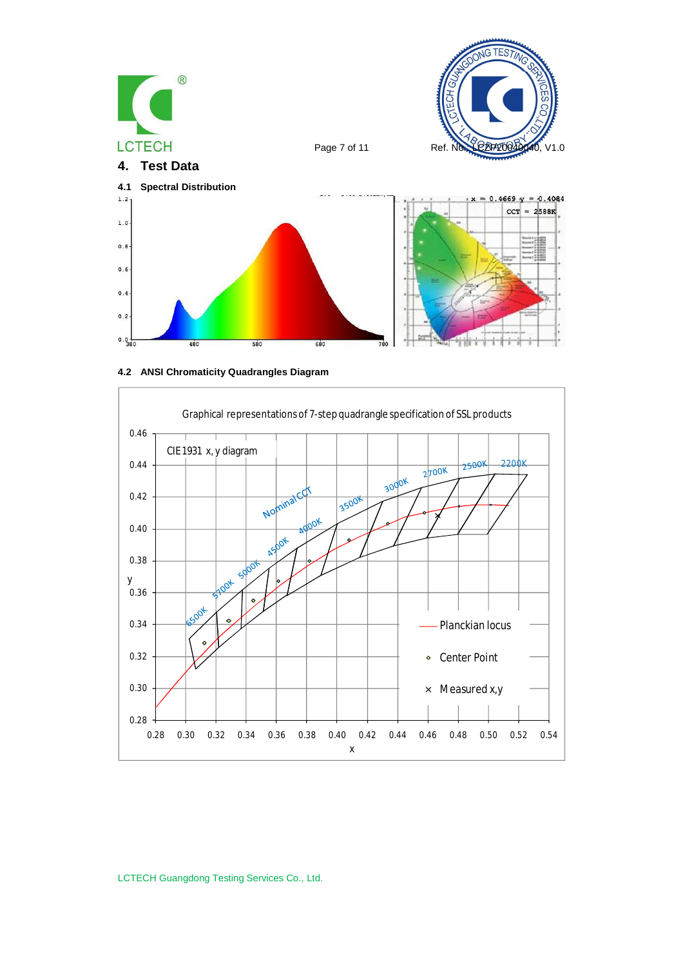





LCTECH Guangdong Testing Services Co., Ltd.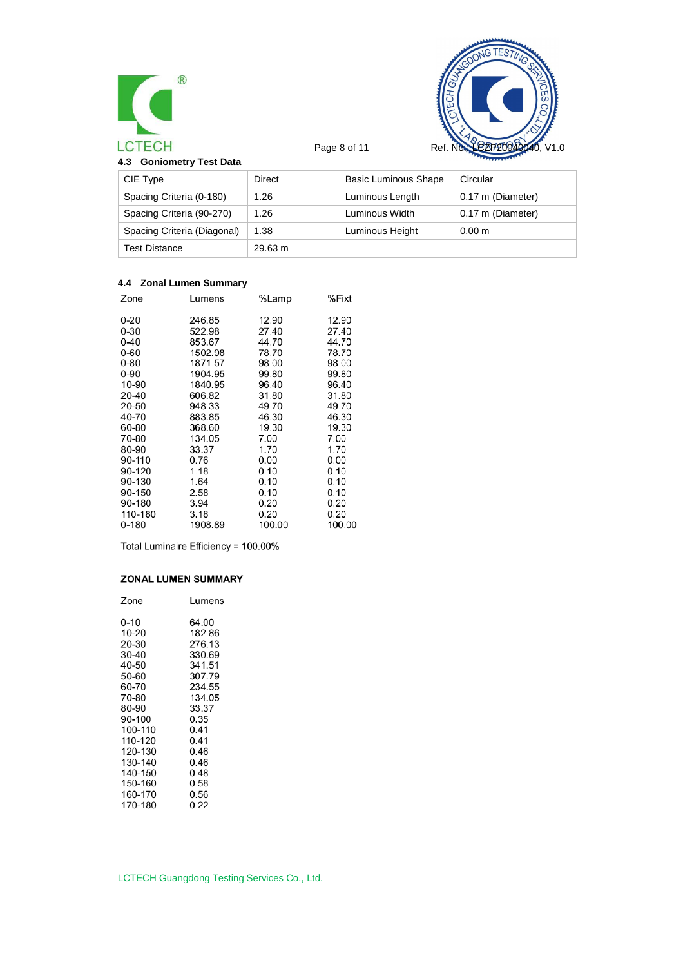



| 4.3 Goniometry Test Data |  |
|--------------------------|--|
|--------------------------|--|

| $\sim$ 001110111011 $\gamma$ 1001 Data |         |                             |                   |  |
|----------------------------------------|---------|-----------------------------|-------------------|--|
| CIE Type                               | Direct  | <b>Basic Luminous Shape</b> | Circular          |  |
| Spacing Criteria (0-180)               | 1.26    | Luminous Length             | 0.17 m (Diameter) |  |
| Spacing Criteria (90-270)              | 1.26    | Luminous Width              | 0.17 m (Diameter) |  |
| Spacing Criteria (Diagonal)            | 1.38    | Luminous Height             | 0.00 <sub>m</sub> |  |
| Test Distance                          | 29.63 m |                             |                   |  |

# **4.4 Zonal Lumen Summary**

| Zone      | Lumens  | %Lamp  | %Fixt  |
|-----------|---------|--------|--------|
| 0-20      | 246.85  | 12.90  | 12.90  |
| $0 - 30$  | 522.98  | 27.40  | 27.40  |
| $0 - 40$  | 853.67  | 44.70  | 44.70  |
| $0 - 60$  | 1502.98 | 78.70  | 78.70  |
| $0 - 80$  | 1871.57 | 98.00  | 98.00  |
| 0-90      | 1904.95 | 99.80  | 99.80  |
| 10-90     | 1840.95 | 96.40  | 96.40  |
| 20-40     | 606.82  | 31.80  | 31.80  |
| 20-50     | 948.33  | 49.70  | 49.70  |
| 40-70     | 883.85  | 46.30  | 46.30  |
| 60-80     | 368.60  | 19.30  | 19.30  |
| 70-80     | 134.05  | 7.00   | 7.00   |
| 80-90     | 33.37   | 1.70   | 1.70   |
| 90-110    | 0.76    | 0.00   | 0.00   |
| 90-120    | 1.18    | 0.10   | 0.10   |
| 90-130    | 1.64    | 0.10   | 0.10   |
| 90-150    | 2.58    | 0.10   | 0.10   |
| 90-180    | 3.94    | 0.20   | 0.20   |
| 110-180   | 3.18    | 0.20   | 0.20   |
| $0 - 180$ | 1908.89 | 100.00 | 100.00 |
|           |         |        |        |

Total Luminaire Efficiency = 100.00%

# **ZONAL LUMEN SUMMARY**

| Zone    | Lumens |
|---------|--------|
| 0-10    | 64.00  |
| 10-20   | 182.86 |
| 20-30   | 276.13 |
| 30-40   | 330.69 |
| 40-50   | 341.51 |
| 50-60   | 307.79 |
| 60-70   | 234.55 |
| 70-80   | 134.05 |
| 80-90   | 33.37  |
| 90-100  | 0.35   |
| 100-110 | 0.41   |
| 110-120 | 0.41   |
| 120-130 | 0.46   |
| 130-140 | 0.46   |
| 140-150 | 0.48   |
| 150-160 | 0.58   |
| 160-170 | 0.56   |
| 170-180 | 0.22   |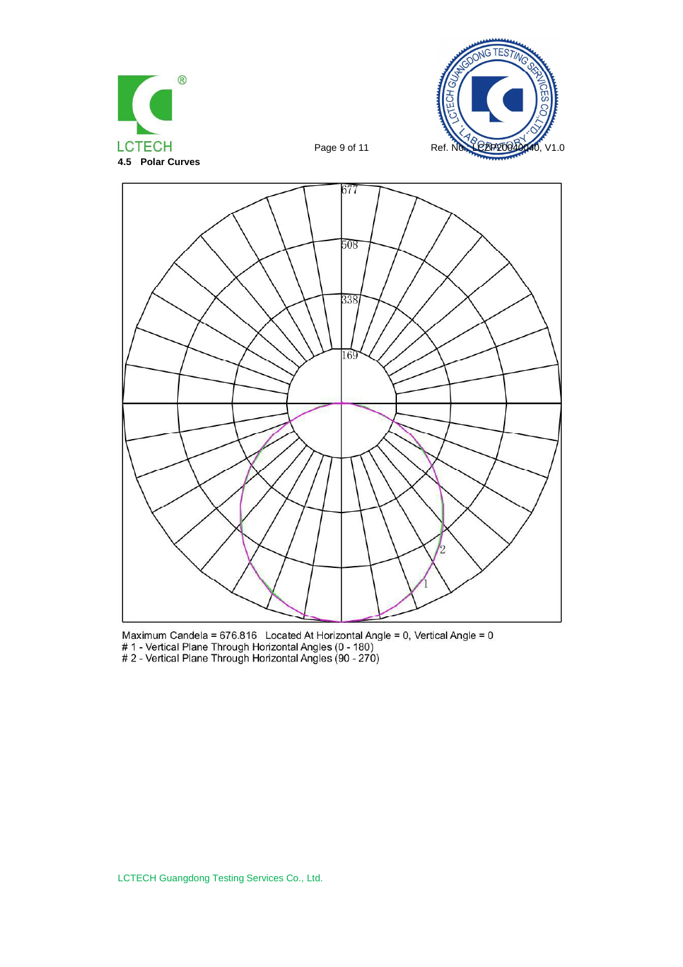



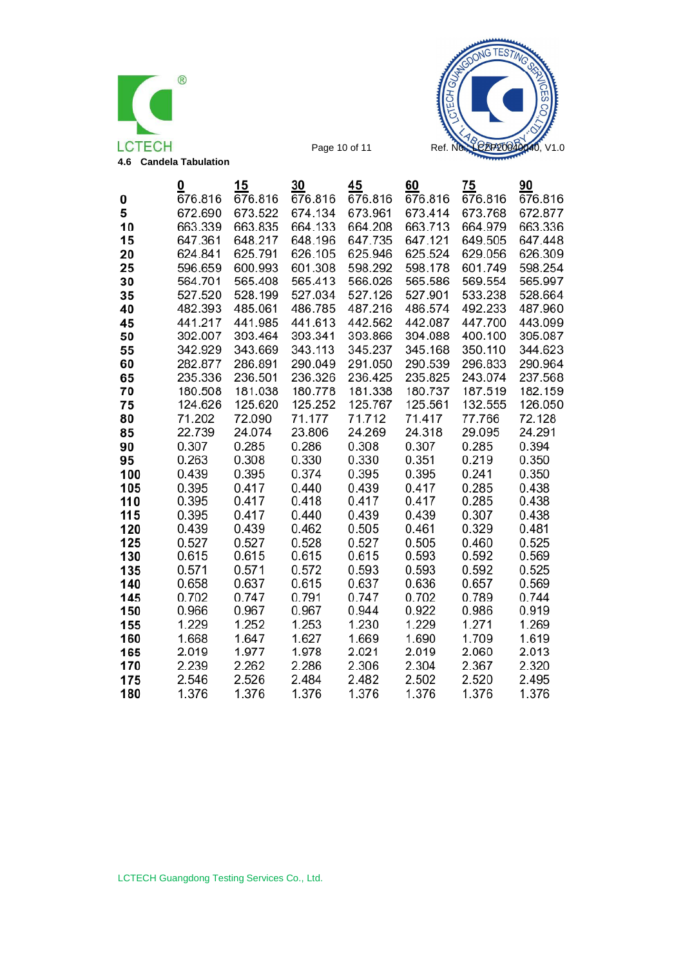



|     | 0       | 15      | 30      | 45      | 60      | 75      | 90      |
|-----|---------|---------|---------|---------|---------|---------|---------|
| 0   | 676.816 | 676.816 | 676.816 | 676.816 | 676.816 | 676.816 | 676.816 |
| 5   | 672.690 | 673.522 | 674.134 | 673.961 | 673.414 | 673.768 | 672.877 |
| 10  | 663.339 | 663.835 | 664.133 | 664.208 | 663.713 | 664.979 | 663.336 |
| 15  | 647.361 | 648.217 | 648.196 | 647.735 | 647.121 | 649.505 | 647.448 |
| 20  | 624.841 | 625.791 | 626.105 | 625.946 | 625.524 | 629.056 | 626.309 |
| 25  | 596.659 | 600.993 | 601.308 | 598.292 | 598.178 | 601.749 | 598.254 |
| 30  | 564.701 | 565.408 | 565.413 | 566.026 | 565.586 | 569.554 | 565.997 |
| 35  | 527.520 | 528.199 | 527.034 | 527.126 | 527.901 | 533.238 | 528.664 |
| 40  | 482.393 | 485.061 | 486.785 | 487.216 | 486.574 | 492.233 | 487.960 |
| 45  | 441.217 | 441.985 | 441.613 | 442.562 | 442.087 | 447.700 | 443.099 |
| 50  | 392.007 | 393.464 | 393.341 | 393.866 | 394.088 | 400.100 | 395.087 |
| 55  | 342.929 | 343.669 | 343.113 | 345.237 | 345.168 | 350.110 | 344.623 |
| 60  | 282.877 | 286.891 | 290.049 | 291.050 | 290.539 | 296.833 | 290.964 |
| 65  | 235.336 | 236.501 | 236.326 | 236.425 | 235.825 | 243.074 | 237.568 |
| 70  | 180.508 | 181.038 | 180.778 | 181.338 | 180.737 | 187.519 | 182.159 |
| 75  | 124.626 | 125.620 | 125.252 | 125.767 | 125.561 | 132.555 | 126.050 |
| 80  | 71.202  | 72.090  | 71.177  | 71.712  | 71.417  | 77.766  | 72.128  |
| 85  | 22.739  | 24.074  | 23.806  | 24.269  | 24.318  | 29.095  | 24.291  |
| 90  | 0.307   | 0.285   | 0.286   | 0.308   | 0.307   | 0.285   | 0.394   |
| 95  | 0.263   | 0.308   | 0.330   | 0.330   | 0.351   | 0.219   | 0.350   |
| 100 | 0.439   | 0.395   | 0.374   | 0.395   | 0.395   | 0.241   | 0.350   |
| 105 | 0.395   | 0.417   | 0.440   | 0.439   | 0.417   | 0.285   | 0.438   |
| 110 | 0.395   | 0.417   | 0.418   | 0.417   | 0.417   | 0.285   | 0.438   |
| 115 | 0.395   | 0.417   | 0.440   | 0.439   | 0.439   | 0.307   | 0.438   |
| 120 | 0.439   | 0.439   | 0.462   | 0.505   | 0.461   | 0.329   | 0.481   |
| 125 | 0.527   | 0.527   | 0.528   | 0.527   | 0.505   | 0.460   | 0.525   |
| 130 | 0.615   | 0.615   | 0.615   | 0.615   | 0.593   | 0.592   | 0.569   |
| 135 | 0.571   | 0.571   | 0.572   | 0.593   | 0.593   | 0.592   | 0.525   |
| 140 | 0.658   | 0.637   | 0.615   | 0.637   | 0.636   | 0.657   | 0.569   |
| 145 | 0.702   | 0.747   | 0.791   | 0.747   | 0.702   | 0.789   | 0.744   |
| 150 | 0.966   | 0.967   | 0.967   | 0.944   | 0.922   | 0.986   | 0.919   |
| 155 | 1.229   | 1.252   | 1.253   | 1.230   | 1.229   | 1.271   | 1.269   |
| 160 | 1.668   | 1.647   | 1.627   | 1.669   | 1.690   | 1.709   | 1.619   |
| 165 | 2.019   | 1.977   | 1.978   | 2.021   | 2.019   | 2.060   | 2.013   |
| 170 | 2.239   | 2.262   | 2.286   | 2.306   | 2.304   | 2.367   | 2.320   |
| 175 | 2.546   | 2.526   | 2.484   | 2.482   | 2.502   | 2.520   | 2.495   |
| 180 | 1.376   | 1.376   | 1.376   | 1.376   | 1.376   | 1.376   | 1.376   |